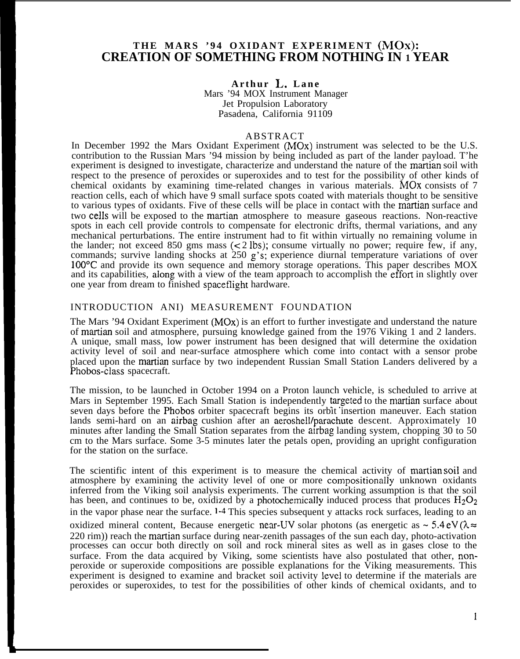# **THE MARS '94 OXIDANT EXPERIMENT (MOX): CREATION OF SOMETHING FROM NOTHING IN 1 YEAR**

Arthur L. Lane Mars '94 MOX Instrument Manager Jet Propulsion Laboratory Pasadena, California 91109

#### ABSTRACT

In December 1992 the Mars Oxidant Experiment (MOx) instrument was selected to be the U.S. contribution to the Russian Mars '94 mission by being included as part of the lander payload. T'he experiment is designed to investigate, characterize and understand the nature of the martian soil with respect to the presence of peroxides or superoxides and to test for the possibility of other kinds of chemical oxidants by examining time-related changes in various materials. MOx consists of 7 reaction cells, each of which have 9 small surface spots coated with materials thought to be sensitive to various types of oxidants. Five of these cells will be place in contact with the martian surface and two cells will be exposed to the martian atmosphere to measure gaseous reactions. Non-reactive spots in each cell provide controls to compensate for electronic drifts, thermal variations, and any mechanical perturbations. The entire instrument had to fit within virtually no remaining volume in the lander; not exceed 850 gms mass  $(< 2$  lbs); consume virtually no power; require few, if any, commands; survive landing shocks at 250 g's; experience diurnal temperature variations of over 100°C and provide its own sequence and memory storage operations. This paper describes MOX and its capabilities, along with a view of the team approach to accomplish the effort in slightly over one year from dream to finished spaceflight hardware.

#### INTRODUCTION ANI) MEASUREMENT FOUNDATION

The Mars '94 Oxidant Experiment (MOX) is an effort to further investigate and understand the nature of martian soil and atmosphere, pursuing knowledge gained from the 1976 Viking 1 and 2 landers. A unique, small mass, low power instrument has been designed that will determine the oxidation activity level of soil and near-surface atmosphere which come into contact with a sensor probe placed upon the martian surface by two independent Russian Small Station Landers delivered by a Phobos-class spacecraft.

The mission, to be launched in October 1994 on a Proton launch vehicle, is scheduled to arrive at Mars in September 1995. Each Small Station is independently targeted to the martian surface about seven days before the Phobos orbiter spacecraft begins its orbit insertion maneuver. Each station lands semi-hard on an airbag cushion after an aeroshell/parachute descent. Approximately 10 minutes after landing the Small Station separates from the airbag landing system, chopping 30 to 50 cm to the Mars surface. Some 3-5 minutes later the petals open, providing an upright configuration for the station on the surface.

The scientific intent of this experiment is to measure the chemical activity of martian soil and atmosphere by examining the activity level of one or more compositionally unknown oxidants inferred from the Viking soil analysis experiments. The current working assumption is that the soil has been, and continues to be, oxidized by a photochemically induced process that produces  $H_2O_2$ in the vapor phase near the surface. 1-4 This species subsequent y attacks rock surfaces, leading to an oxidized mineral content, Because energetic near-UV solar photons (as energetic as  $\sim$  5.4 eV ( $\lambda \approx$ 220 rim)) reach the martian surface during near-zenith passages of the sun each day, photo-activation processes can occur both directly on soil and rock mineral sites as well as in gases close to the surface. From the data acquired by Viking, some scientists have also postulated that other, nonperoxide or superoxide compositions are possible explanations for the Viking measurements. This experiment is designed to examine and bracket soil activity level to determine if the materials are peroxides or superoxides, to test for the possibilities of other kinds of chemical oxidants, and to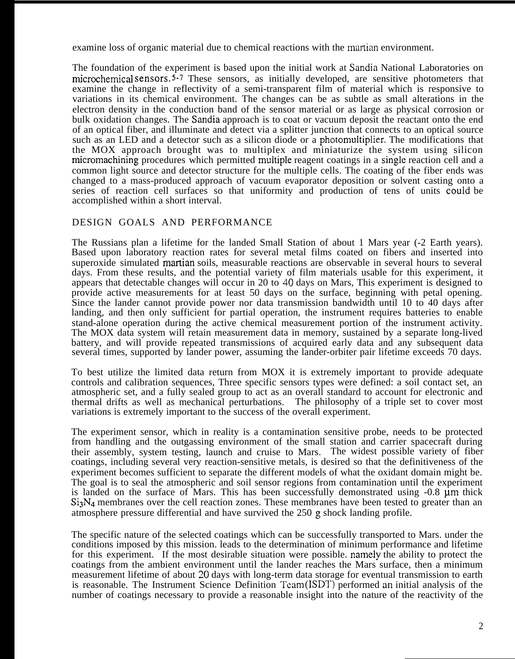examine loss of organic material due to chemical reactions with the martian environment.

The foundation of the experiment is based upon the initial work at Sandia National Laboratories on microchemical sensors,  $5-7$  These sensors, as initially developed, are sensitive photometers that examine the change in reflectivity of a semi-transparent film of material which is responsive to variations in its chemical environment. The changes can be as subtle as small alterations in the electron density in the conduction band of the sensor material or as large as physical corrosion or bulk oxidation changes. The Sandia approach is to coat or vacuum deposit the reactant onto the end of an optical fiber, and illuminate and detect via a splitter junction that connects to an optical source such as an LED and a detector such as a silicon diode or a photomultiplier. The modifications that the MOX approach brought was to multiplex and miniaturize the system using silicon micromachining procedures which permitted multiple reagent coatings in a single reaction cell and a common light source and detector structure for the multiple cells. The coating of the fiber ends was changed to a mass-produced approach of vacuum evaporator deposition or solvent casting onto a series of reaction cell surfaces so that uniformity and production of tens of units could be accomplished within a short interval.

## DESIGN GOALS AND PERFORMANCE

The Russians plan a lifetime for the landed Small Station of about 1 Mars year (-2 Earth years). Based upon laboratory reaction rates for several metal films coated on fibers and inserted into superoxide simulated martian soils, measurable reactions are observable in several hours to several days. From these results, and the potential variety of film materials usable for this experiment, it appears that detectable changes will occur in 20 to 40 days on Mars, This experiment is designed to provide active measurements for at least 50 days on the surface, beginning with petal opening. Since the lander cannot provide power nor data transmission bandwidth until 10 to 40 days after landing, and then only sufficient for partial operation, the instrument requires batteries to enable stand-alone operation during the active chemical measurement portion of the instrument activity. The MOX data system will retain measurement data in memory, sustained by a separate long-lived battery, and will provide repeated transmissions of acquired early data and any subsequent data several times, supported by lander power, assuming the lander-orbiter pair lifetime exceeds 70 days.

To best utilize the limited data return from MOX it is extremely important to provide adequate controls and calibration sequences, Three specific sensors types were defined: a soil contact set, an atmospheric set, and a fully sealed group to act as an overall standard to account for electronic and thermal drifts as well as mechanical perturbations. The philosophy of a triple set to cover most variations is extremely important to the success of the overall experiment.

The experiment sensor, which in reality is a contamination sensitive probe, needs to be protected from handling and the outgassing environment of the small station and carrier spacecraft during their assembly, system testing, launch and cruise to Mars. The widest possible variety of fiber coatings, including several very reaction-sensitive metals, is desired so that the definitiveness of the experiment becomes sufficient to separate the different models of what the oxidant domain might be. The goal is to seal the atmospheric and soil sensor regions from contamination until the experiment is landed on the surface of Mars. This has been successfully demonstrated using  $-0.8~\mu m$  thick  $Si<sub>3</sub>N<sub>4</sub>$  membranes over the cell reaction zones. These membranes have been tested to greater than an atmosphere pressure differential and have survived the 250 g shock landing profile.

The specific nature of the selected coatings which can be successfully transported to Mars. under the conditions imposed by this mission. leads to the determination of minimum performance and lifetime for this experiment. If the most desirable situation were possible. namely the ability to protect the coatings from the ambient environment until the lander reaches the Mars surface, then a minimum measurement lifetime of about 20 days with long-term data storage for eventual transmission to earth is reasonable. The Instrument Science Definition Team (ISDT) performed an initial analysis of the number of coatings necessary to provide a reasonable insight into the nature of the reactivity of the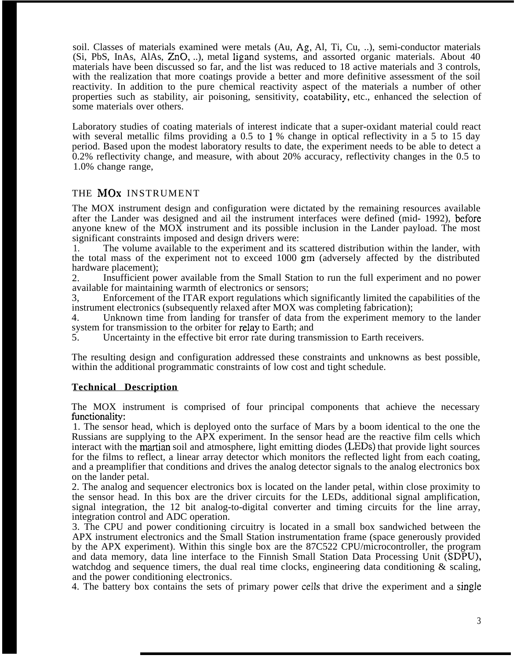soil. Classes of materials examined were metals (Au, Ag, Al, Ti, Cu, ..), semi-conductor materials (Si, PbS, InAs, AlAs, ZnO, ..), metal ligand systems, and assorted organic materials. About 40 materials have been discussed so far, and the list was reduced to 18 active materials and 3 controls, with the realization that more coatings provide a better and more definitive assessment of the soil reactivity. In addition to the pure chemical reactivity aspect of the materials a number of other properties such as stability, air poisoning, sensitivity, coatability, etc., enhanced the selection of some materials over others.

Laboratory studies of coating materials of interest indicate that a super-oxidant material could react with several metallic films providing a 0.5 to 1 % change in optical reflectivity in a 5 to 15 day period. Based upon the modest laboratory results to date, the experiment needs to be able to detect a 0.2% reflectivity change, and measure, with about 20% accuracy, reflectivity changes in the 0.5 to 1.0% change range,

## THE MOX INSTRUMENT

The MOX instrument design and configuration were dictated by the remaining resources available after the Lander was designed and ail the instrument interfaces were defined (mid- 1992), before anyone knew of the MOX instrument and its possible inclusion in the Lander payload. The most significant constraints imposed and design drivers were:

1. The volume available to the experiment and its scattered distribution within the lander, with the total mass of the experiment not to exceed 1000 gm (adversely affected by the distributed hardware placement);

2. Insufficient power available from the Small Station to run the full experiment and no power available for maintaining warmth of electronics or sensors;

3, Enforcement of the ITAR export regulations which significantly limited the capabilities of the instrument electronics (subsequently relaxed after MOX was completing fabrication);

4. Unknown time from landing for transfer of data from the experiment memory to the lander system for transmission to the orbiter for relay to Earth; and 5. Uncertainty in the effective bit error rate during trans

Uncertainty in the effective bit error rate during transmission to Earth receivers.

The resulting design and configuration addressed these constraints and unknowns as best possible, within the additional programmatic constraints of low cost and tight schedule.

## **Technical Description**

The MOX instrument is comprised of four principal components that achieve the necessary functionality:

1. The sensor head, which is deployed onto the surface of Mars by a boom identical to the one the Russians are supplying to the APX experiment. In the sensor head are the reactive film cells which interact with the martian soil and atmosphere, light emitting diodes (LEDs) that provide light sources for the films to reflect, a linear array detector which monitors the reflected light from each coating, and a preamplifier that conditions and drives the analog detector signals to the analog electronics box on the lander petal.

2. The analog and sequencer electronics box is located on the lander petal, within close proximity to the sensor head. In this box are the driver circuits for the LEDs, additional signal amplification, signal integration, the 12 bit analog-to-digital converter and timing circuits for the line array, integration control and ADC operation.

3. The CPU and power conditioning circuitry is located in a small box sandwiched between the APX instrument electronics and the Small Station instrumentation frame (space generously provided by the APX experiment). Within this single box are the 87C522 CPU/microcontroller, the program and data memory, data line interface to the Finnish Small Station Data Processing Unit (SDPU), watchdog and sequence timers, the dual real time clocks, engineering data conditioning  $\&$  scaling, and the power conditioning electronics.

4. The battery box contains the sets of primary power cells that drive the experiment and a single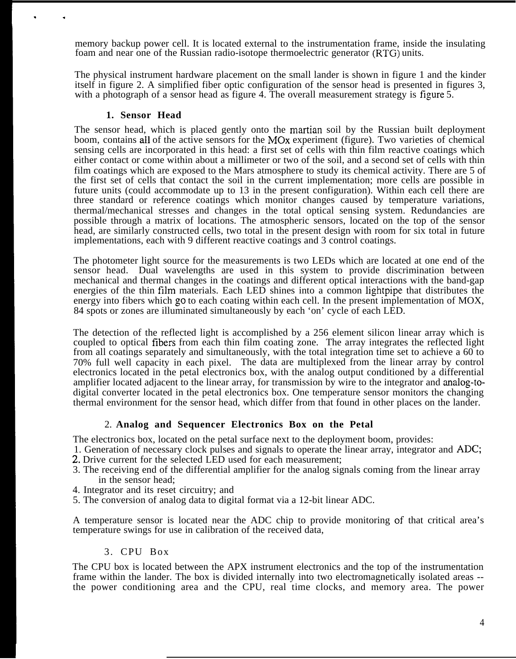memory backup power cell. It is located external to the instrumentation frame, inside the insulating foam and near one of the Russian radio-isotope thermoelectric generator (RTG) units.

The physical instrument hardware placement on the small lander is shown in figure 1 and the kinder itself in figure 2. A simplified fiber optic configuration of the sensor head is presented in figures 3, with a photograph of a sensor head as figure 4. The overall measurement strategy is figure 5.

## **1. Sensor Head**

. .

The sensor head, which is placed gently onto the martian soil by the Russian built deployment boom, contains ail of the active sensors for the MOX experiment (figure). Two varieties of chemical sensing cells are incorporated in this head: a first set of cells with thin film reactive coatings which either contact or come within about a millimeter or two of the soil, and a second set of cells with thin film coatings which are exposed to the Mars atmosphere to study its chemical activity. There are 5 of the first set of cells that contact the soil in the current implementation; more cells are possible in future units (could accommodate up to 13 in the present configuration). Within each cell there are three standard or reference coatings which monitor changes caused by temperature variations, thermal/mechanical stresses and changes in the total optical sensing system. Redundancies are possible through a matrix of locations. The atmospheric sensors, located on the top of the sensor head, are similarly constructed cells, two total in the present design with room for six total in future implementations, each with 9 different reactive coatings and 3 control coatings.

The photometer light source for the measurements is two LEDs which are located at one end of the sensor head. Dual wavelengths are used in this system to provide discrimination between mechanical and thermal changes in the coatings and different optical interactions with the band-gap energies of the thin film materials. Each LED shines into a common lightpipe that distributes the energy into fibers which go to each coating within each cell. In the present implementation of MOX, 84 spots or zones are illuminated simultaneously by each 'on' cycle of each LED.

The detection of the reflected light is accomplished by a 256 element silicon linear array which is coupled to optical fibers from each thin film coating zone. The array integrates the reflected light from all coatings separately and simultaneously, with the total integration time set to achieve a 60 to 70% full well capacity in each pixel. The data are multiplexed from the linear array by control electronics located in the petal electronics box, with the analog output conditioned by a differential amplifier located adjacent to the linear array, for transmission by wire to the integrator and analog-todigital converter located in the petal electronics box. One temperature sensor monitors the changing thermal environment for the sensor head, which differ from that found in other places on the lander.

## 2. **Analog and Sequencer Electronics Box on the Petal**

The electronics box, located on the petal surface next to the deployment boom, provides:

- 1. Generation of necessary clock pulses and signals to operate the linear array, integrator and ADC; 2, Drive current for the selected LED used for each measurement;
- 
- 3. The receiving end of the differential amplifier for the analog signals coming from the linear array in the sensor head;
- 4. Integrator and its reset circuitry; and
- 5. The conversion of analog data to digital format via a 12-bit linear ADC.

A temperature sensor is located near the ADC chip to provide monitoring of that critical area's temperature swings for use in calibration of the received data,

## 3. CPU Box

The CPU box is located between the APX instrument electronics and the top of the instrumentation frame within the lander. The box is divided internally into two electromagnetically isolated areas - the power conditioning area and the CPU, real time clocks, and memory area. The power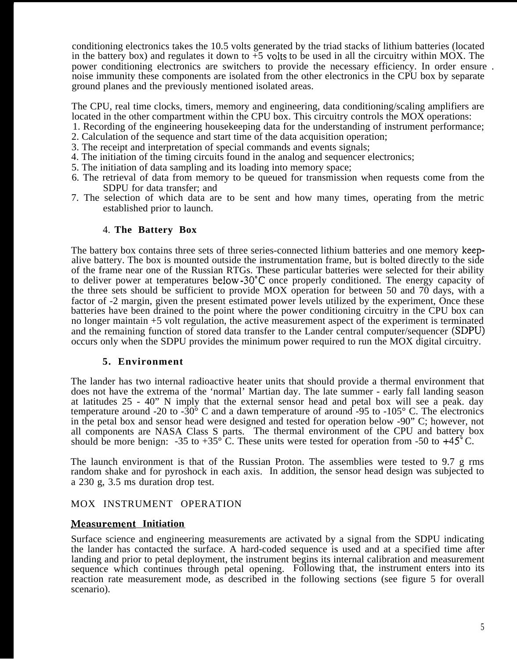conditioning electronics takes the 10.5 volts generated by the triad stacks of lithium batteries (located in the battery box) and regulates it down to  $\overline{+5}$  volts to be used in all the circuitry within MOX. The power conditioning electronics are switchers to provide the necessary efficiency. In order ensure . noise immunity these components are isolated from the other electronics in the CPU box by separate ground planes and the previously mentioned isolated areas.

The CPU, real time clocks, timers, memory and engineering, data conditioning/scaling amplifiers are located in the other compartment within the CPU box. This circuitry controls the MOX operations:

- 1. Recording of the engineering housekeeping data for the understanding of instrument performance;
- 2. Calculation of the sequence and start time of the data acquisition operation;
- 3. The receipt and interpretation of special commands and events signals;
- 4. The initiation of the timing circuits found in the analog and sequencer electronics;
- 5. The initiation of data sampling and its loading into memory space;
- 6. The retrieval of data from memory to be queued for transmission when requests come from the SDPU for data transfer; and
- 7. The selection of which data are to be sent and how many times, operating from the metric established prior to launch.

#### 4. **The Battery Box**

The battery box contains three sets of three series-connected lithium batteries and one memory keepalive battery. The box is mounted outside the instrumentation frame, but is bolted directly to the side of the frame near one of the Russian RTGs. These particular batteries were selected for their ability to deliver power at temperatures below -30"C once properly conditioned. The energy capacity of the three sets should be sufficient to provide MOX operation for between 50 and 70 days, with a factor of -2 margin, given the present estimated power levels utilized by the experiment, Once these batteries have been drained to the point where the power conditioning circuitry in the CPU box can no longer maintain +5 volt regulation, the active measurement aspect of the experiment is terminated and the remaining function of stored data transfer to the Lander central computer/sequencer (SDPU) occurs only when the SDPU provides the minimum power required to run the MOX digital circuitry.

#### **5. Environment**

The lander has two internal radioactive heater units that should provide a thermal environment that does not have the extrema of the 'normal' Martian day. The late summer - early fall landing season at latitudes 25 - 40" N imply that the external sensor head and petal box will see a peak. day temperature around -20 to - $30^{\circ}$  C and a dawn temperature of around -95 to -105 $^{\circ}$  C. The electronics in the petal box and sensor head were designed and tested for operation below -90" C; however, not all components are NASA Class S parts. The thermal environment of the CPU and battery box should be more benign:  $-35$  to  $+35^{\circ}$  C. These units were tested for operation from -50 to  $+45^{\circ}$  C.

The launch environment is that of the Russian Proton. The assemblies were tested to 9.7 g rms random shake and for pyroshock in each axis. In addition, the sensor head design was subjected to a 230 g, 3.5 ms duration drop test.

## MOX INSTRUMENT OPERATION

## **Measurement Initiation**

Surface science and engineering measurements are activated by a signal from the SDPU indicating the lander has contacted the surface. A hard-coded sequence is used and at a specified time after landing and prior to petal deployment, the instrument begins its internal calibration and measurement sequence which continues through petal opening. Following that, the instrument enters into its reaction rate measurement mode, as described in the following sections (see figure 5 for overall scenario).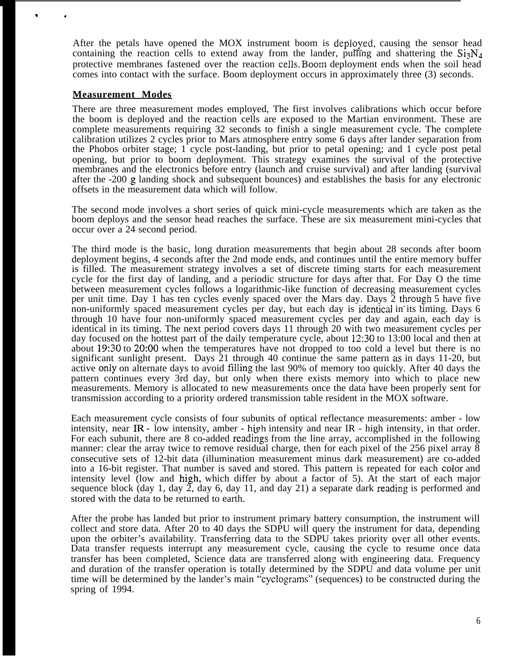After the petals have opened the MOX instrument boom is deployed, causing the sensor head containing the reaction cells to extend away from the lander, pulling and shattering the  $Si<sub>3</sub>N<sub>4</sub>$ protective membranes fastened over the reaction cells. Boom deployment ends when the soil head comes into contact with the surface. Boom deployment occurs in approximately three (3) seconds.

#### **Measurement Modes**

<sup>8</sup> ,

There are three measurement modes employed, The first involves calibrations which occur before the boom is deployed and the reaction cells are exposed to the Martian environment. These are complete measurements requiring 32 seconds to finish a single measurement cycle. The complete calibration utilizes 2 cycles prior to Mars atmosphere entry some 6 days after lander separation from the Phobos orbiter stage; 1 cycle post-landing, but prior to petal opening; and 1 cycle post petal opening, but prior to boom deployment. This strategy examines the survival of the protective membranes and the electronics before entry (launch and cruise survival) and after landing (survival after the -200 g landing shock and subsequent bounces) and establishes the basis for any electronic offsets in the measurement data which will follow.

The second mode involves a short series of quick mini-cycle measurements which are taken as the boom deploys and the sensor head reaches the surface. These are six measurement mini-cycles that occur over a 24 second period.

The third mode is the basic, long duration measurements that begin about 28 seconds after boom deployment begins, 4 seconds after the 2nd mode ends, and continues until the entire memory buffer is filled. The measurement strategy involves a set of discrete timing starts for each measurement cycle for the first day of landing, and a periodic structure for days after that. For Day O the time between measurement cycles follows a logarithmic-like function of decreasing measurement cycles per unit time. Day 1 has ten cycles evenly spaced over the Mars day. Days 2 through 5 have five non-uniformly spaced measurement cycles per day, but each day is identical in its timing. Days 6 through 10 have four non-uniformly spaced measurement cycles per day and again, each day is identical in its timing. The next period covers days 11 through 20 with two measurement cycles per day focused on the hottest part of the daily temperature cycle, about 12:30 to 13:00 local and then at about 19:30 to 20:00 when the temperatures have not dropped to too cold a level but there is no significant sunlight present. Days 21 through 40 continue the same pattern as in days 11-20, but active oniy on alternate days to avoid fiiling the last 90% of memory too quickly. After 40 days the pattern continues every 3rd day, but only when there exists memory into which to place new measurements. Memory is allocated to new measurements once the data have been properly sent for transmission according to a priority ordered transmission table resident in the MOX software.

Each measurement cycle consists of four subunits of optical reflectance measurements: amber - low intensity, near IR - low intensity, amber - high intensity and near IR - high intensity, in that order. For each subunit, there are 8 co-added readings from the line array, accomplished in the following manner: clear the array twice to remove residual charge, then for each pixel of the 256 pixel array 8 consecutive sets of 12-bit data (illumination measurement minus dark measurement) are co-added into a 16-bit register. That number is saved and stored. This pattern is repeated for each color and intensity level (low and high, which differ by about a factor of 5). At the start of each major sequence block (day 1, day 2, day 6, day 11, and day 21) a separate dark reading is performed and stored with the data to be returned to earth.

After the probe has landed but prior to instrument primary battery consumption, the instrument will collect and store data. After  $20$  to 40 days the SDPU will query the instrument for data, depending upon the orbiter's availability. Transferring data to the SDPU takes priority over all other events. Data transfer requests interrupt any measurement cycle, causing the cycle to resume once data transfer has been completed, Science data are transferred along with engineering data. Frequency and duration of the transfer operation is totally determined by the SDPU and data volume per unit time will be determined by the lander's main "cyclograms" (sequences) to be constructed during the spring of 1994.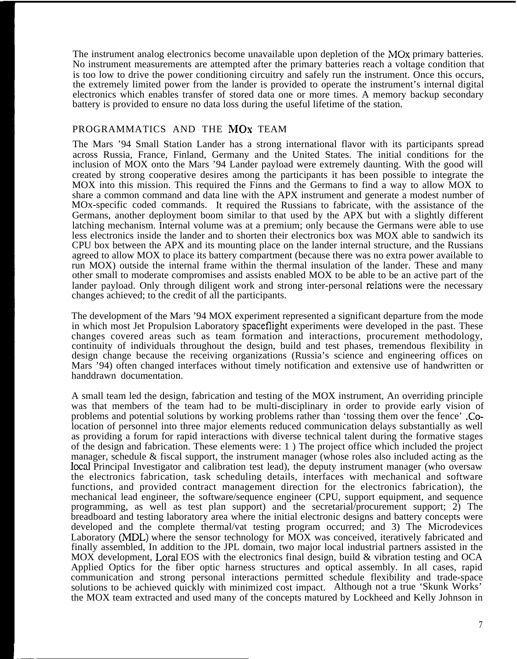The instrument analog electronics become unavailable upon depletion of the MO<sub>X</sub> primary batteries. No instrument measurements are attempted after the primary batteries reach a voltage condition that is too low to drive the power conditioning circuitry and safely run the instrument. Once this occurs, the extremely limited power from the lander is provided to operate the instrument's internal digital electronics which enables transfer of stored data one or more times. A memory backup secondary battery is provided to ensure no data loss during the useful lifetime of the station.

## PROGRAMMATICS AND THE MOX TEAM

The Mars '94 Small Station Lander has a strong international flavor with its participants spread across Russia, France, Finland, Germany and the United States. The initial conditions for the inclusion of MOX onto the Mars '94 Lander payload were extremely daunting. With the good will created by strong cooperative desires among the participants it has been possible to integrate the MOX into this mission. This required the Finns and the Germans to find a way to allow MOX to share a common command and data line with the APX instrument and generate a modest number of MOx-specific coded commands. It required the Russians to fabricate, with the assistance of the Germans, another deployment boom similar to that used by the APX but with a slightly different latching mechanism. Internal volume was at a premium; only because the Germans were able to use less electronics inside the lander and to shorten their electronics box was MOX able to sandwich its CPU box between the APX and its mounting place on the lander internal structure, and the Russians agreed to allow MOX to place its battery compartment (because there was no extra power available to run MOX) outside the internal frame within the thermal insulation of the lander. These and many other small to moderate compromises and assists enabled MOX to be able to be an active part of the lander payload. Only through diligent work and strong inter-personal relations were the necessary changes achieved; to the credit of all the participants.

The development of the Mars '94 MOX experiment represented a significant departure from the mode in which most Jet Propulsion Laboratory spaceflight experiments were developed in the past. These changes covered areas such as team formation and interactions, procurement methodology, continuity of individuals throughout the design, build and test phases, tremendous flexibility in design change because the receiving organizations (Russia's science and engineering offices on Mars '94) often changed interfaces without timely notification and extensive use of handwritten or handdrawn documentation.

A small team led the design, fabrication and testing of the MOX instrument, An overriding principle was that members of the team had to be multi-disciplinary in order to provide early vision of problems and potential solutions by working problems rather than 'tossing them over the fence' .Colocation of personnel into three major elements reduced communication delays substantially as well as providing a forum for rapid interactions with diverse technical talent during the formative stages of the design and fabrication. These elements were: 1 ) The project office which included the project manager, schedule & fiscal support, the instrument manager (whose roles also included acting as the local Principal Investigator and calibration test lead), the deputy instrument manager (who oversaw the electronics fabrication, task scheduling details, interfaces with mechanical and software functions, and provided contract management direction for the electronics fabrication), the mechanical lead engineer, the software/sequence engineer (CPU, support equipment, and sequence programming, as well as test plan support) and the secretarial/procurement support; 2) The breadboard and testing laboratory area where the initial electronic designs and battery concepts were developed and the complete thermal/vat testing program occurred; and 3) The Microdevices Laboratory (MDL) where the sensor technology for MOX was conceived, iteratively fabricated and finally assembled, In addition to the JPL domain, two major local industrial partners assisted in the MOX development, Loral EOS with the electronics final design, build & vibration testing and OCA Applied Optics for the fiber optic harness structures and optical assembly. In all cases, rapid communication and strong personal interactions permitted schedule flexibility and trade-space solutions to be achieved quickly with minimized cost impact. Although not a true 'Skunk Works' the MOX team extracted and used many of the concepts matured by Lockheed and Kelly Johnson in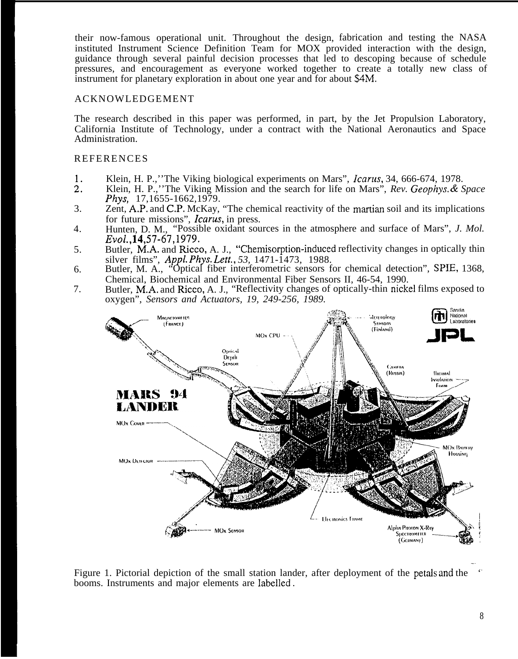their now-famous operational unit. Throughout the design, fabrication and testing the NASA instituted Instrument Science Definition Team for MOX provided interaction with the design, guidance through several painful decision processes that led to descoping because of schedule pressures, and encouragement as everyone worked together to create a totally new class of instrument for planetary exploration in about one year and for about \$4M.

## ACKNOWLEDGEMENT

The research described in this paper was performed, in part, by the Jet Propulsion Laboratory, California Institute of Technology, under a contract with the National Aeronautics and Space Administration.

## REFERENCES

- $1.$ Klein, H. P.," The Viking biological experiments on Mars", *Icarus*, 34, 666-674, 1978.
- Klein, H. P.,''The Viking Mission and the search for life on Mars", *Rev. Geophys. & Space*  $2.$ Phys, 17,1655-1662,1979.
- 3. Zent, A.P. and C.P. McKay, "The chemical reactivity of the martian soil and its implications for future missions", *Icarus,* in press.
- 4. Hunten, D. M., "Possible oxidant sources in the atmosphere and surface of Mars", *J. Mol.* Evo1.,14,57-67,1979.
- 5. Butler, M.A. and Ricco, A. J., "Chemisorption-induced reflectivity changes in optically thin silver films", *Appl. Phys. Lett., 53,* 1471-1473, 1988.
- 6. Butler, M. A., "Optical fiber interferometric sensors for chemical detection", SPIE, 1368, Chemical, Biochemical and Environmental Fiber Sensors II, 46-54, 1990.
- 7. Butler, M.A. and Ricco, A. J., "Reflectivity changes of optically-thin nickel films exposed to oxygen", *Sensors and Actuators, 19, 249-256, 1989.*



Figure 1. Pictorial depiction of the small station lander, after deployment of the petals and the booms. Instruments and major elements are labelled .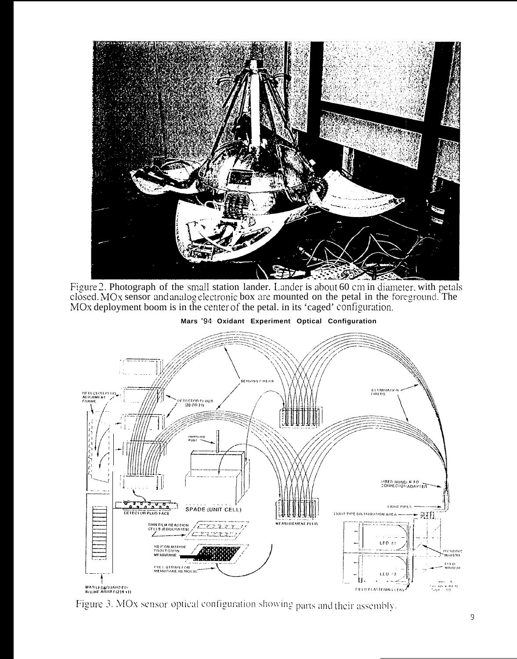

Figure 2. Photograph of the small station lander. Lander is about 60 cm in diameter, with petals closed. MOx sensor and analog electronic box are mounted on the petal in the foreground. The MOx deployment boom is in the center of the petal. in its 'caged' configuration.



**Mars '94 Oxidant Experiment Optical Configuration**

Figure 3. MOx sensor optical configuration showing parts and their assembly.